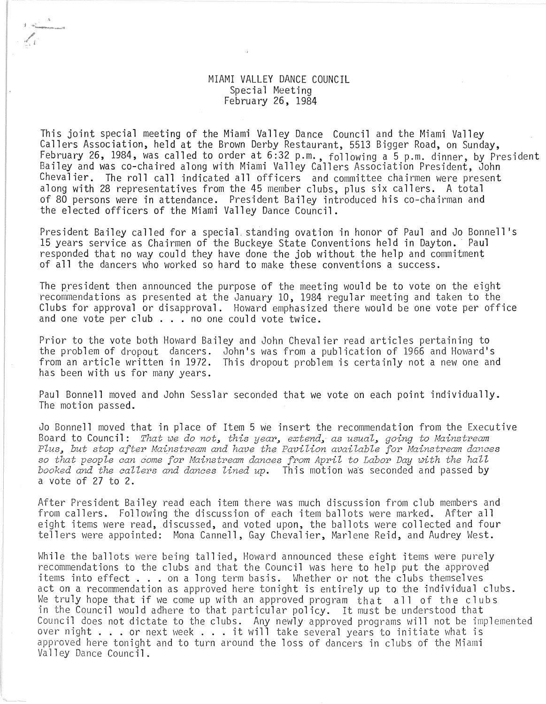## MIAMI VALLEY DANCE COUNCIL Special Meeting February 26, 1984

j ,.,-".'--

This joint special meeting of the Miami Valley Dance Council and the Miami Valley Callers Association, held at the Brown Derby Restaurant, 5513 Bigger Road, on Sunday, February 26, 1984, was called to order at 6:32 p.m., following a 5 p.m. dinner, by President Bailey and was co-chaired along with Miami Valley Callers Association President, John Chevalier. The roll call indicated all officers and committee chairmen were present along with 28 representatives from the 45 member clubs, plus six callers. A total of 80 persons were in attendance. President Bailey introduced his co-chairman and the elected officers of the Miami Valley Dance Council.

President Bailey called for a special. standing ovation in honor of Paul and Jo Bonnell's 15 years service as Chairmen of the Buckeye State Conventions held in Dayton. Paul responded that no way could they have done the job without the help and commitment of all the dancers who worked so hard to make these conventions a success.

The president then announced the purpose of the meeting would be to vote on the eight recommendations as presented at the January 10, 1984 regular meeting and taken to the Clubs for approval or disapproval. Howard emphasized there would be one vote per office and one vote per club ... no one could vote twice.

Prior to the vote both Howard Bailey and John Chevalier read articles pertaining to the problem of dropout dancers. John's was from a publication of 1966 and Howard's from an article written in 1972. This dropout problem is certainly not a new one and has been with us for many years.

Paul Bonnell moved and John Sesslar seconded that we vote on each point individually. The motion passed.

Jo Bonnell moved that in place of Item 5 we insert the recommendation from the Executive Board to Council: *That we do not, this year, extend, as usual, going to Mainstream* Plus, but stop after Mainstream and have the Pavilion available for Mainstream dances so that people can come for Mainstream dances from April to Labor Day with the hall *booked and the callers and dances lined up.* This motion was seconded and passed by a vote of 27 to 2.

After President Bailey read each item there was much discussion from club members and from callers. Following the discussion of each item ballots were marked. After all eight items were read, discussed, and voted upon, the ballots were collected and four tellers were appointed: Mona Cannell, Gay Chevalier, Marlene Reid, and Audrey West.

While the ballots were being tallied, Howard announced these eight items were purely mirre one barroos mere being carried, homara annoanced enese ergne reems mere parentles<br>recommendations to the clubs and that the Council was here to help put the approved<br>items into effect . . . on a long term basis. Whet items into effect . . . on a long term basis. Whether or not the clubs themselves<br>act on a recommendation as approved here tonight is entirely up to the individual clubs. We truly hope that if we come up with an approved program that all of the clubs in the Council would adhere to that particular policy. It must be understood that Council does not dictate to the clubs. Any newly approved programs will not be implemented<br>over night . . . or next week . . . it will take several years to initiate what is over night . . . or next week . . . it will take several years to initiate what is<br>approved here tonight and to turn around the loss of dancers in clubs of the Miami Valley Dance Council.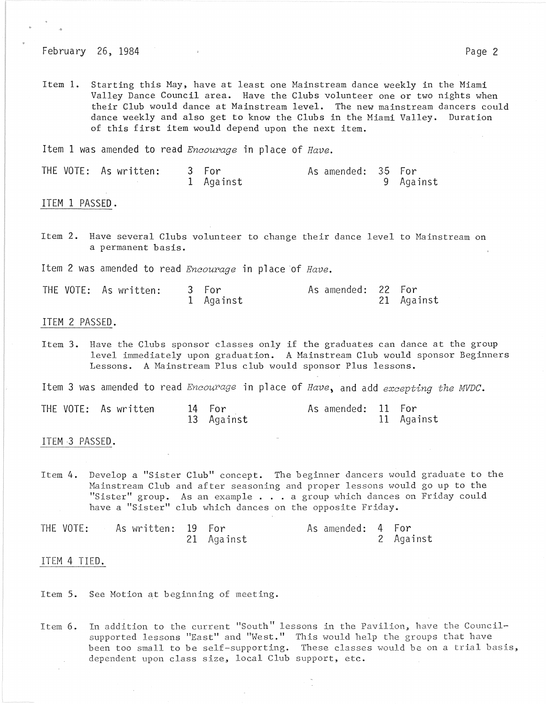February 26, 1984 **Page 2** 

Item 1. Starting this Hay, have at least one Mainstream dance weekly in the Miami Valley Dance Council area. Have the Clubs volunteer one or two nights when their Club would dance at Mainstream level. The new mainstream dancers could dance weekly and also get to know the Clubs in the Miami Valley. Duration of this first item would depend upon the next item.

Item 1 was amended to read *Encourage* in place of *Have*.

| THE VOTE: As written: 3 For |           | As amended: 35 For |           |
|-----------------------------|-----------|--------------------|-----------|
|                             | 1 Against |                    | 9 Against |

ITEM 1 PASSED.

Item 2. Have several Clubs volunteer to change their dance level to Hainstream on a permanent basis.

Item 2 was amended to read *Encourage* in place of Have.

| THE VOTE: As written: 3 For |           | As amended: 22 For |            |
|-----------------------------|-----------|--------------------|------------|
|                             | 1 Against |                    | 21 Against |

## ITEM 2 PASSED.

Item 3. Have the Clubs sponsor classes only if the graduates can dance at the group level immediately upon graduation. A Mainstream Club would sponsor Beginners Lessons. A Mainstream Plus club would sponsor Plus lessons.

Item 3 was amended to read *Encourage* in place of Have, and add excepting the MVDC.

|  | THE VOTE: As written | 14 For     | As amended: 11 For |            |
|--|----------------------|------------|--------------------|------------|
|  |                      | 13 Against |                    | 11 Against |

ITEM·3 PASSED.

Item 4. Develop a "Sister Club" concept. The beginner dancers would graduate to the Mainstream Club and after seasoning and proper lessons would go up to the "Sister" group. As an example . . . a group which dances on Friday could have a "Sister" club which dances on the opposite Friday.

THE VOTE: As written: 19 For The As amended: 4 For 21 Against 2 Against

## ITEM 4 TIED.

Item 5. See Motion at beginning of meeting.

Item 6. In addition to the current "South" lessons in the Pavilion, have the Councilsupported lessons "East" and "West." This would help the groups that have been too small to be self-supporting. These classes would be on a trial basis, dependent upon class size, local Club support, etc.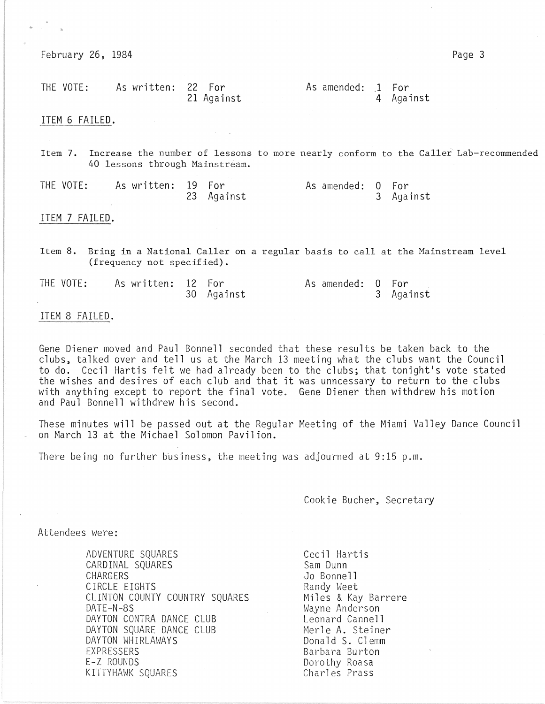February 26, 1984 Page 3

"

| THE VOTE: | As written: 22 For |            | As amended: 1 For |           |
|-----------|--------------------|------------|-------------------|-----------|
|           |                    | 21 Against |                   | 4 Against |

ITEM 6 FAILED.

Item 7. Increase the number of lessons to more nearly conform to the Caller'Lab-recommended 40 lessons through Mainstream.

THE VOTE: As written: 19 For and As amended: 0 For<br>23 Against 23 Against 3 Against 23 Against

#### ITEM 7 FAILED.

Item 8. Bring in a National Caller on a regular basis to call at the Mainstream level (frequency not specified).

| THE VOTE: | As written: 12 For |            | As amended: 0 For |           |
|-----------|--------------------|------------|-------------------|-----------|
|           |                    | 30 Against |                   | 3 Against |

#### ITEM 8 FAILED.

Gene Diener moved and Paul Bonnell seconded that these results be taken back to the clubs, talked over and tell us at the March 13 meeting what the clubs want the Council to do. Cecil Hartis felt we had already been to the clubs; that tonight's vote stated the wishes and desires of each club and that it was unncessary to return to the clubs with anything except to report the final vote. Gene Diener then withdrew his motion and Paul Bonnell withdrew his second.

These minutes will be passed out at the Regular Meeting of the Miami Valley Dance Council on March 13 at the Michael Solomon Pavilion.

There being no further business, the meeting was adjourned at 9:15 p.m.

Cookie Bucher, Secretary

## Attendees were:

ADVENTURE SQUARES CARDINAL SQUARES CHARGERS CIRCLE EIGHTS CLINTON COUNTY COUNTRY SQUARES DATE-N-8S DAYTON CONTRA DANCE CLUB DAYTON SQUARE DANCE CLUB DAYTON WHIRLAWAYS EXPRESSERS E-Z ROUNDS KITTYHAWK SQUARES

Cecil Hartis Sam Dunn Jo Bonnell Randy Weet Miles & Kay Barrere Wayne Anderson Leonard Cannell Merle A. Steiner Donald S. Clemm Barbara Burton Dorothy Roasa Charles Prass